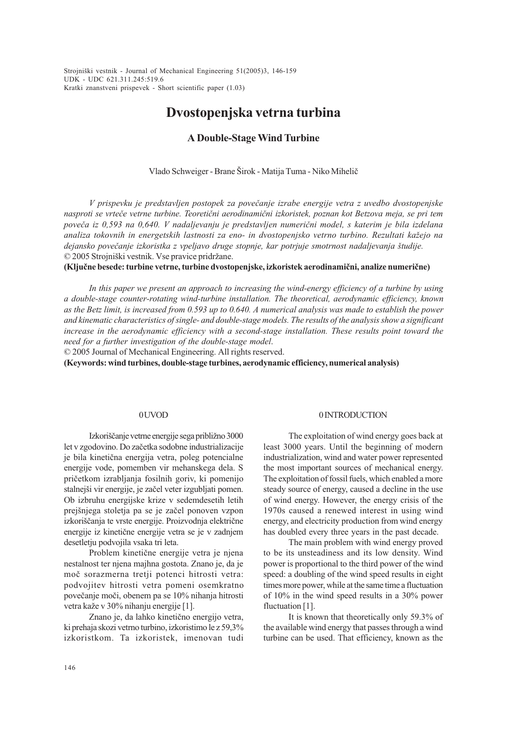UDK - UDC 621.311.245:519.6 Strojniški vestnik - Journal of Mechanical Engineering 51(2005)3, 146-159 Kratki znanstveni prispevek - Short scientific paper (1.03)

# Dvostopenjska vetrna turbina

## A Double-Stage Wind Turbine

Vlado Schweiger - Brane Širok - Matija Tuma - Niko Mihelič

V prispevku je predstavljen postopek za poveèanje izrabe energije vetra z uvedbo dvostopenjske nasproti se vrteèe vetrne turbine. Teoretièni aerodinamièni izkoristek, poznan kot Betzova meja, se pri tem poveèa iz 0,593 na 0,640. V nadaljevanju je predstavljen numerièni model, s katerim je bila izdelana analiza tokovnih in energetskih lastnosti za eno- in dvostopenjsko vetrno turbino. Rezultati kažejo na dejansko povečanje izkoristka z vpeljavo druge stopnje, kar potrjuje smotrnost nadaljevanja študije. © 2005 Strojniški vestnik. Vse pravice pridržane.

(Kljuène besede: turbine vetrne, turbine dvostopenjske, izkoristek aerodinamièni, analize numeriène)

In this paper we present an approach to increasing the wind-energy efficiency of a turbine by using a double-stage counter-rotating wind-turbine installation. The theoretical, aerodynamic efficiency, known as the Betz limit, is increased from 0.593 up to 0.640. A numerical analysis was made to establish the power and kinematic characteristics of single- and double-stage models. The results of the analysis show a significant increase in the aerodynamic efficiency with a second-stage installation. These results point toward the need for a further investigation of the double-stage model.

© 2005 Journal of Mechanical Engineering. All rights reserved.

(Keywords: wind turbines, double-stage turbines, aerodynamic efficiency, numerical analysis)

## 0 UVOD

Izkoriščanje vetrne energije sega približno 3000 let v zgodovino. Do zaèetka sodobne industrializacije je bila kinetièna energija vetra, poleg potencialne energije vode, pomemben vir mehanskega dela. S prièetkom izrabljanja fosilnih goriv, ki pomenijo stalnejši vir energije, je začel veter izgubljati pomen. Ob izbruhu energijske krize v sedemdesetih letih prejšnjega stoletja pa se je začel ponoven vzpon izkoriščanja te vrste energije. Proizvodnja električne energije iz kinetiène energije vetra se je v zadnjem desetletju podvojila vsaka tri leta.

Problem kinetične energije vetra je njena nestalnost ter njena majhna gostota. Znano je, da je moè sorazmerna tretji potenci hitrosti vetra: podvojitev hitrosti vetra pomeni osemkratno poveèanje moèi, obenem pa se 10% nihanja hitrosti vetra kaže v 30% nihanju energije [1].

Znano je, da lahko kinetično energijo vetra, ki prehaja skozi vetrno turbino, izkoristimo le z 59,3% izkoristkom. Ta izkoristek, imenovan tudi

#### 0 INTRODUCTION

The exploitation of wind energy goes back at least 3000 years. Until the beginning of modern industrialization, wind and water power represented the most important sources of mechanical energy. The exploitation of fossil fuels, which enabled a more steady source of energy, caused a decline in the use of wind energy. However, the energy crisis of the 1970s caused a renewed interest in using wind energy, and electricity production from wind energy has doubled every three years in the past decade.

The main problem with wind energy proved to be its unsteadiness and its low density. Wind power is proportional to the third power of the wind speed: a doubling of the wind speed results in eight times more power, while at the same time a fluctuation of 10% in the wind speed results in a 30% power fluctuation [1].

It is known that theoretically only 59.3% of the available wind energy that passes through a wind turbine can be used. That efficiency, known as the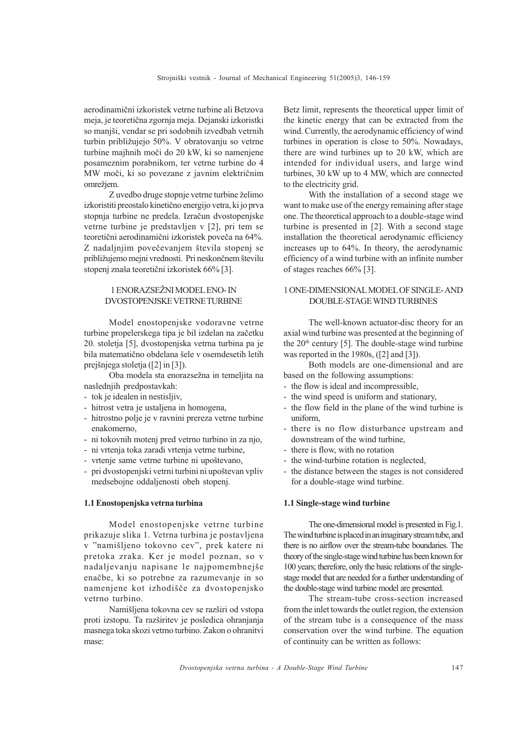aerodinamièni izkoristek vetrne turbine ali Betzova meja, je teoretièna zgornja meja. Dejanski izkoristki so manjši, vendar se pri sodobnih izvedbah vetrnih turbin približujejo 50%. V obratovanju so vetrne turbine majhnih moèi do 20 kW, ki so namenjene posameznim porabnikom, ter vetrne turbine do 4 MW moèi, ki so povezane z javnim elektriènim omrežjem.

Z uvedbo druge stopnje vetrne turbine želimo izkoristiti preostalo kinetièno energijo vetra, ki jo prva stopnja turbine ne predela. Izraèun dvostopenjske vetrne turbine je predstavljen v [2], pri tem se teoretični aerodinamični izkoristek poveča na 64%. Z nadaljnjim povečevanjem števila stopenj se približujemo mejni vrednosti. Pri neskončnem številu stopenj znaša teoretični izkoristek 66% [3].

## 1 ENORAZSEŽNI MODEL ENO- IN DVOSTOPENJSKE VETRNE TURBINE

Model enostopenjske vodoravne vetrne turbine propelerskega tipa je bil izdelan na začetku 20. stoletja [5], dvostopenjska vetrna turbina pa je bila matematično obdelana šele v osemdesetih letih prejšnjega stoletja ( $[2]$  in  $[3]$ ).

Oba modela sta enorazsežna in temeljita na naslednjih predpostavkah:

- tok je idealen in nestisljiv,
- hitrost vetra je ustaljena in homogena,
- hitrostno polje je v ravnini prereza vetrne turbine enakomerno,
- ni tokovnih motenj pred vetrno turbino in za njo,
- ni vrtenja toka zaradi vrtenja vetrne turbine,
- vrtenje same vetrne turbine ni upoštevano,
- pri dvostopenjski vetrni turbini ni upoštevan vpliv medsebojne oddaljenosti obeh stopenj.

## 1.1 Enostopenjska vetrna turbina

Model enostopenjske vetrne turbine prikazuje slika 1. Vetrna turbina je postavljena v "namišljeno tokovno cev", prek katere ni pretoka zraka. Ker je model poznan, so v nadaljevanju napisane le najpomembnejše enaèbe, ki so potrebne za razumevanje in so namenjene kot izhodišče za dvostopenjsko vetrno turbino.

Namišljena tokovna cev se razširi od vstopa proti izstopu. Ta razširitev je posledica ohranjanja masnega toka skozi vetrno turbino. Zakon o ohranitvi mase:

Betz limit, represents the theoretical upper limit of the kinetic energy that can be extracted from the wind. Currently, the aerodynamic efficiency of wind turbines in operation is close to 50%. Nowadays, there are wind turbines up to 20 kW, which are intended for individual users, and large wind turbines, 30 kW up to 4 MW, which are connected to the electricity grid.

With the installation of a second stage we want to make use of the energy remaining after stage one. The theoretical approach to a double-stage wind turbine is presented in [2]. With a second stage installation the theoretical aerodynamic efficiency increases up to 64%. In theory, the aerodynamic efficiency of a wind turbine with an infinite number of stages reaches 66% [3].

## 1 ONE-DIMENSIONAL MODEL OF SINGLE- AND DOUBLE-STAGE WIND TURBINES

The well-known actuator-disc theory for an axial wind turbine was presented at the beginning of the  $20<sup>th</sup>$  century [5]. The double-stage wind turbine was reported in the 1980s, ([2] and [3]).

Both models are one-dimensional and are based on the following assumptions:

- the flow is ideal and incompressible,
- the wind speed is uniform and stationary,
- the flow field in the plane of the wind turbine is uniform,
- there is no flow disturbance upstream and downstream of the wind turbine,
- there is flow, with no rotation
- the wind-turbine rotation is neglected,
- the distance between the stages is not considered for a double-stage wind turbine.

#### 1.1 Single-stage wind turbine

The one-dimensional model is presented in Fig.1. The wind turbine is placed in an imaginary stream tube, and there is no airflow over the stream-tube boundaries. The theory of the single-stage wind turbine has been known for 100 years; therefore, only the basic relations of the singlestage model that are needed for a further understanding of the double-stage wind turbine model are presented.

The stream-tube cross-section increased from the inlet towards the outlet region, the extension of the stream tube is a consequence of the mass conservation over the wind turbine. The equation of continuity can be written as follows: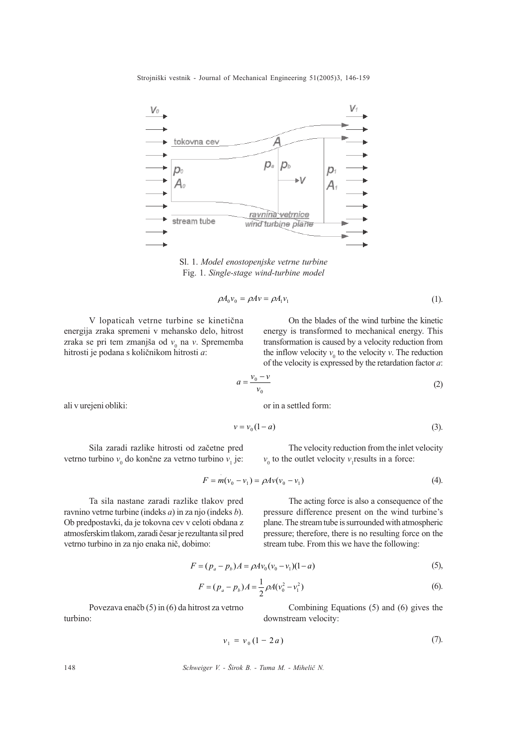

Sl. 1. Model enostopenjske vetrne turbine Fig. 1. Single-stage wind-turbine model

$$
\rho A_0 v_0 = \rho A v = \rho A_1 v_1 \tag{1}
$$

V lopaticah vetrne turbine se kinetièna energija zraka spremeni v mehansko delo, hitrost zraka se pri tem zmanjša od  $v_0$  na v. Sprememba hitrosti je podana s količnikom hitrosti a:

On the blades of the wind turbine the kinetic energy is transformed to mechanical energy. This transformation is caused by a velocity reduction from the inflow velocity  $v_0$  to the velocity v. The reduction of the velocity is expressed by the retardation factor  $a$ :

$$
a = \frac{v_0 - v}{v_0} \tag{2}
$$

ali v urejeni obliki:

or in a settled form:

$$
v = v_0 (1 - a) \tag{3}
$$

Sila zaradi razlike hitrosti od zaèetne pred vetrno turbino  $v_0$  do končne za vetrno turbino  $v_1$  je:

The velocity reduction from the inlet velocity  $v_0$  to the outlet velocity  $v_1$  results in a force:

$$
F = m(v_0 - v_1) = \rho A v(v_0 - v_1)
$$
\n(4).

Ta sila nastane zaradi razlike tlakov pred ravnino vetrne turbine (indeks a) in za njo (indeks b). Ob predpostavki, da je tokovna cev v celoti obdana z atmosferskim tlakom, zaradi èesar je rezultanta sil pred vetrno turbino in za njo enaka niè, dobimo:

The acting force is also a consequence of the pressure difference present on the wind turbine's plane. The stream tube is surrounded with atmospheric pressure; therefore, there is no resulting force on the stream tube. From this we have the following:

$$
F = (p_a - p_b)A = \rho A v_0 (v_0 - v_1)(1 - a)
$$
\n(5),

$$
F = (p_a - p_b)A = \frac{1}{2}\rho A (v_0^2 - v_1^2)
$$
\n(6)

Povezava enaèb (5) in (6) da hitrost za vetrno turbino:

Combining Equations (5) and (6) gives the downstream velocity:

$$
v_1 = v_0 (1 - 2a)
$$
 (7).

148 Schweiger V. - Širok B. - Tuma M. - Mihelič N.

.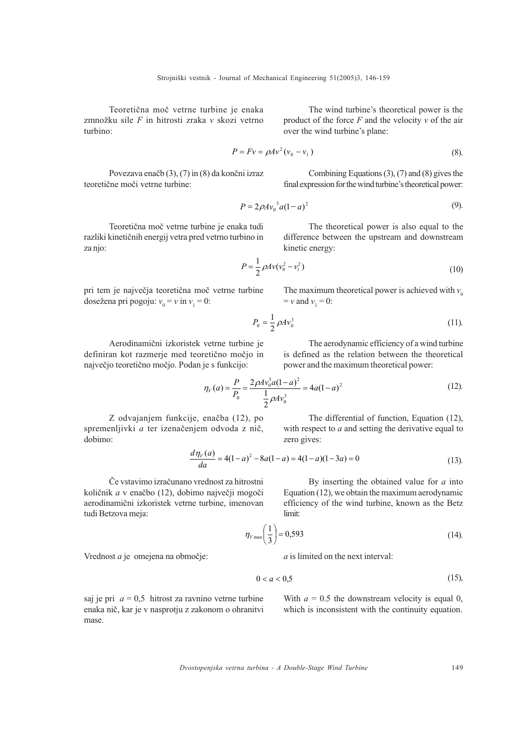Teoretièna moè vetrne turbine je enaka zmnožku sile  $F$  in hitrosti zraka v skozi vetrno turbino:

$$
P = Fv = \rho A v^2 (v_0 - v_1)
$$
\n
$$
(8)
$$

over the wind turbine's plane:

Povezava enaèb (3), (7) in (8) da konèni izraz teoretiène moèi vetrne turbine:

Combining Equations (3), (7) and (8) gives the final expression for the wind turbine's theoretical power:

The wind turbine's theoretical power is the product of the force  $F$  and the velocity  $v$  of the air

$$
P = 2\rho A v_0^3 a (1 - a)^2
$$
 (9).

Teoretièna moè vetrne turbine je enaka tudi razliki kinetiènih energij vetra pred vetrno turbino in za njo:

The theoretical power is also equal to the difference between the upstream and downstream kinetic energy:

$$
P = \frac{1}{2} \rho A v (v_0^2 - v_1^2)
$$
 (10)

pri tem je najveèja teoretièna moè vetrne turbine dosežena pri pogoju:  $v_0 = v$  in  $v_1 = 0$ :

The maximum theoretical power is achieved with  $v_0$  $= v$  and  $v_1 = 0$ :

$$
P_0 = \frac{1}{2} \rho A v_0^3 \tag{11}
$$

Aerodinamični izkoristek vetrne definiran kot razmerje med t največjo teoretično močjo. Po

y of a wind turbine is defined as the relation between the theoretical

The differential of function, Equation (12), with respect to  $a$  and setting the derivative equal to

$$
\eta_V(a) = \frac{P}{P_0} = \frac{2\rho A v_0^3 a (1 - a)^2}{\frac{1}{2}\rho A v_0^3} = 4a(1 - a)^2
$$
\n(12).

Z odvajanjem funkcije, enaèba (12), po spremenljivki a ter izenačenjem odvoda z nič, dobimo:

$$
\frac{d\eta_V(a)}{da} = 4(1-a)^2 - 8a(1-a) = 4(1-a)(1-3a) = 0
$$
\n(13)

Èe vstavimo izraèunano vrednost za hitrostni količnik a v enačbo (12), dobimo največji mogoči aerodinamièni izkoristek vetrne turbine, imenovan tudi Betzova meja:

By inserting the obtained value for  $a$  into Equation (12), we obtain the maximum aerodynamic efficiency of the wind turbine, known as the Betz limit:

$$
\eta_{V\max}\left(\frac{1}{3}\right) = 0,593\tag{14}
$$

Vrednost a je omejena na obmoèje:

a is limited on the next interval:

$$
0 < a < 0.5 \tag{15}
$$

saj je pri  $a = 0.5$  hitrost za ravnino vetrne turbine enaka niè, kar je v nasprotju z zakonom o ohranitvi mase.

With  $a = 0.5$  the downstream velocity is equal 0, which is inconsistent with the continuity equation.

Dvostopenjska vetrna turbina - A Double-Stage Wind Turbine 149

power and the maximum theoretical power:

1. 
$$
2^{p+1}
$$

\n1.  $2^{p+1}$ 

\n2.  $p+1$ 

\n3.  $p+1$ 

\n4.  $p+1$ 

\n5.  $p+1$ 

\n6.  $p+1$ 

\n7.  $p+1$ 

\n8.  $p+1$ 

\n9.  $p+1$ 

\n10.  $p+1$ 

\n11.  $p+1$ 

\n12.  $p+1$ 

\n13.  $p+1$ 

\n14.  $p+1$ 

\n15.  $p+1$ 

\n16.  $p+1$ 

\n17.  $p+1$ 

\n18.  $p+1$ 

\n19.  $p+1$ 

\n10.  $p+1$ 

\n11.  $p+1$ 

\n12.  $p+1$ 

\n13.  $p+1$ 

\n14.  $p+1$ 

\n15.  $p+1$ 

\n16.  $p+1$ 

\n17.  $p+1$ 

\n18.  $p+1$ 

\n19.  $p+1$ 

\n10.  $p+1$ 

\n11.  $p+1$ 

\n12.  $p+1$ 

\n13.  $p+1$ 

\n14.  $p+1$ 

\n15.  $p+1$ 

\n16.  $p+1$ 

\n17.  $p+1$ 

\n18.  $$ 

zero gives:

deoretical mode of the  
odan je s funkcijo: power and the r  

$$
\eta_V(a) = \frac{P}{P} = \frac{2\rho A v_0^3 a (1-a)^2}{1-a} = 4a(1-a)
$$

2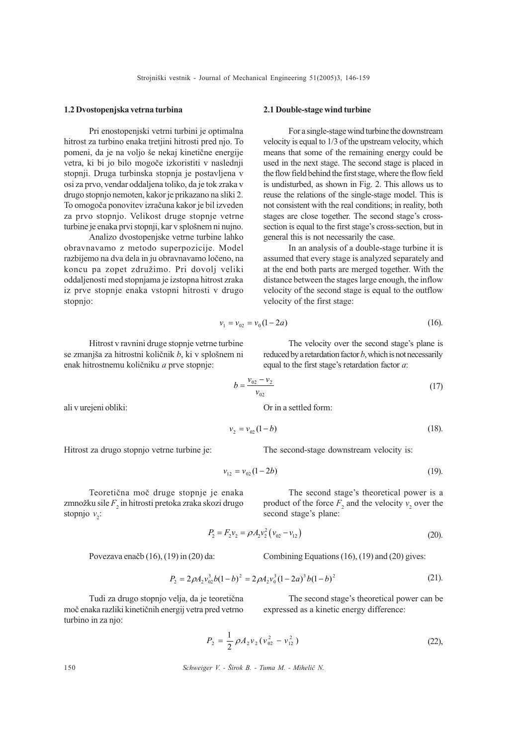#### 1.2 Dvostopenjska vetrna turbina

Pri enostopenjski vetrni turbini je optimalna hitrost za turbino enaka tretjini hitrosti pred njo. To pomeni, da je na voljo še nekaj kinetične energije vetra, ki bi jo bilo mogoče izkoristiti v naslednji stopnji. Druga turbinska stopnja je postavljena v osi za prvo, vendar oddaljena toliko, da je tok zraka v drugo stopnjo nemoten, kakor je prikazano na sliki 2. To omogoèa ponovitev izraèuna kakor je bil izveden za prvo stopnjo. Velikost druge stopnje vetrne turbine je enaka prvi stopnji, kar v splošnem ni nujno.

Analizo dvostopenjske vetrne turbine lahko obravnavamo z metodo superpozicije. Model razbijemo na dva dela in ju obravnavamo loèeno, na koncu pa zopet združimo. Pri dovolj veliki oddaljenosti med stopnjama je izstopna hitrost zraka iz prve stopnje enaka vstopni hitrosti v drugo stopnjo:

$$
v_1 = v_{02} = v_0 (1 - 2a) \tag{16}
$$

velocity of the first stage:

general this is not necessarily the case.

2.1 Double-stage wind turbine

For a single-stage wind turbine the downstream velocity is equal to 1/3 of the upstream velocity, which means that some of the remaining energy could be used in the next stage. The second stage is placed in the flow field behind the first stage, where the flow field is undisturbed, as shown in Fig. 2. This allows us to reuse the relations of the single-stage model. This is not consistent with the real conditions; in reality, both stages are close together. The second stage's crosssection is equal to the first stage's cross-section, but in

In an analysis of a double-stage turbine it is assumed that every stage is analyzed separately and at the end both parts are merged together. With the distance between the stages large enough, the inflow velocity of the second stage is equal to the outflow

The velocity over the second stage's plane is reduced by a retardation factor  $b$ , which is not necessarily

The second stage's theoretical power is a product of the force  $F_2$  and the velocity  $v_2$  over the

The second stage's theoretical power can be

(20).

Hitrost v ravnini druge stopnje vetrne turbine se zmanjša za hitrostni količnik  $b$ , ki v splošnem ni enak hitrostnemu količniku *a* prve stopnje:

$$
b = \frac{v_{02} - v_2}{v_{02}} \tag{17}
$$

equal to the first stage's retardation factor  $a$ :

Or in a settled form:

$$
=v_{02}(1-b) \tag{18}
$$

The second-stage downstream velocity is:

$$
v_{12} = v_{02}(1 - 2b) \tag{19}
$$

Teoretièna moè druge stopnje je enaka zmnožku sile $F_{2}$  in hitrosti pretoka zraka skozi drugo stopnjo  $v_2$ :

second stage's plane:  
\n
$$
P_2 = F_2 v_2 = \rho A_2 v_2^2 (v_{02} - v_{12})
$$
\n(20)

Povezava enaèb (16), (19) in (20) da:

Combining Equations (16), (19) and (20) gives:

$$
P_2 = 2\rho A_2 v_{02}^3 b (1 - b)^2 = 2\rho A_2 v_0^3 (1 - 2a)^3 b (1 - b)^2
$$
 (21).

Tudi za drugo stopnjo velja, da je teoretièna moè enaka razliki kinetiènih energij vetra pred vetrno turbino in za njo:

expressed as a kinetic energy difference:

$$
P_2 = \frac{1}{2} \rho A_2 v_2 (v_{02}^2 - v_{12}^2)
$$
 (22),

150 Schweiger V. - Širok B. - Tuma M. - Mihelič N.

ali v urejeni obliki:

Hitrost za drugo stopnjo vetrne turbine je:

 $v<sub>2</sub>$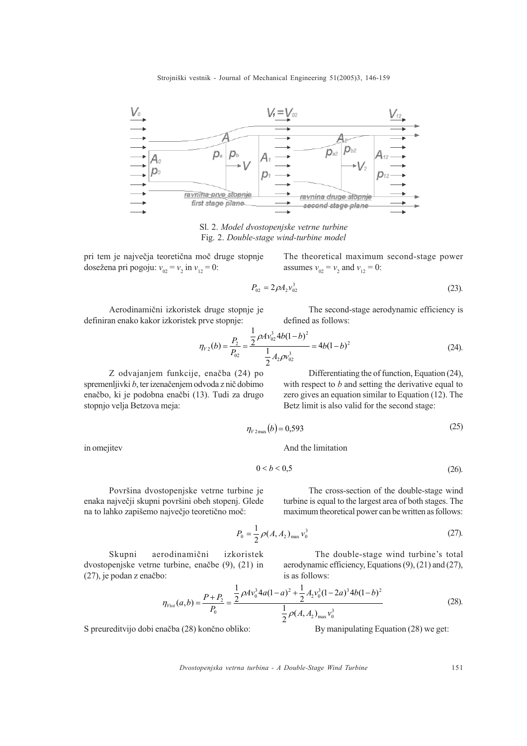

Sl. 2. Model dvostopenjske vetrne turbine Fig. 2. Double-stage wind-turbine model

pri tem je najveèja teoretièna moè druge stopnje dosežena pri pogoju:  $v_{02} = v_2$  in  $v_{12} = 0$ :

The theoretical maximum second-stage power assumes  $v_{02} = v_2$  and  $v_{12} = 0$ :

$$
P_{02} = 2\rho A_2 v_{02}^3 \tag{23}
$$

Aerodinamièni izkoristek druge stopnje je definiran enako kakor izkoristek prve stopnje:

The second-stage aerodynamic efficiency is defined as follows:

$$
\eta_{V2}(b) = \frac{P_2}{P_{02}} = \frac{\frac{1}{2}\rho A v_{02}^3 4b(1-b)^2}{\frac{1}{2}A_2\rho v_{02}^3} = 4b(1-b)^2
$$
\n(24).

Z odvajanjem funkcije, enaèba (24) po spremenljivki b, ter izenaèenjem odvoda z niè dobimo enaèbo, ki je podobna enaèbi (13). Tudi za drugo stopnjo velja Betzova meja:

Differentiating the of function, Equation (24), with respect to  $b$  and setting the derivative equal to zero gives an equation similar to Equation (12). The Betz limit is also valid for the second stage:

$$
\eta_{V2\text{max}}(b) = 0{,}593\tag{25}
$$

And the limitation

$$
0 < b < 0.5 \tag{26}
$$

Površina dvostopenjske vetrne turbine je enaka največji skupni površini obeh stopenj. Glede na to lahko zapišemo največjo teoretično moč:

The cross-section of the double-stage wind turbine is equal to the largest area of both stages. The maximum theoretical power can be written as follows:

$$
P_0 = \frac{1}{2} \rho(A, A_2)_{\text{max}} v_0^3
$$
 (27).

Skupni aerodinamični izkoristek dvostopenjske vetrne turbine, enaèbe (9), (21) in (27), je podan z enaèbo:

The double-stage wind turbine's total aerodynamic efficiency, Equations (9), (21) and (27), is as follows:

$$
\eta_{\text{Vtot}}(a,b) = \frac{P + P_2}{P_0} = \frac{\frac{1}{2}\rho A v_0^3 4a(1-a)^2 + \frac{1}{2}A_2 v_0^3 (1-2a)^3 4b(1-b)^2}{\frac{1}{2}\rho(A, A_2)_{\text{max}} v_0^3}
$$
(28).

S preureditvijo dobi enaèba (28) konèno obliko:

By manipulating Equation (28) we get:

Dvostopenjska vetrna turbina - A Double-Stage Wind Turbine 151

in omejitev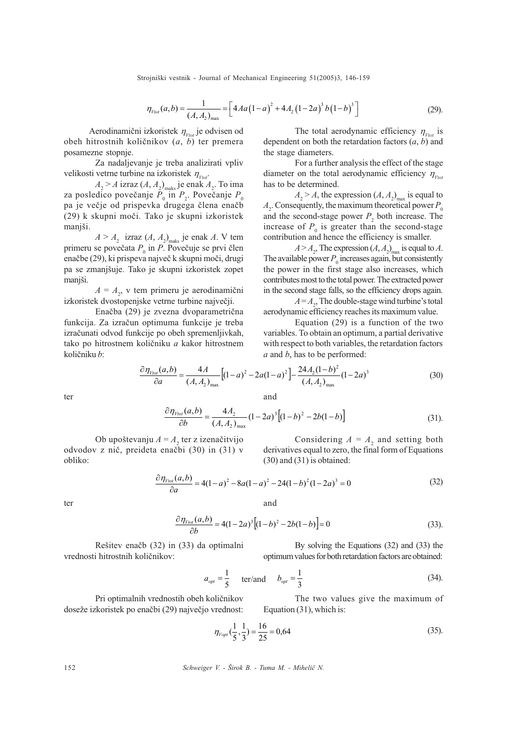$$
\eta_{\text{Vtot}}(a,b) = \frac{1}{(A,A_2)_{\text{max}}} = \left[4A a \left(1-a\right)^2 + 4A_2 \left(1-2a\right)^3 b \left(1-b\right)^3\right] \tag{29}.
$$

Aerodinamični izkoristek  $\eta_{\nu_{tot}}$  je odvisen od obeh hitrostnih količnikov  $(a, b)$  ter premera posamezne stopnje.

Za nadaljevanje je treba analizirati vpliv velikosti vetrne turbine na izkoristek  $\eta_{\nu_{tot}}$ .

 $A_{2}$  > A izraz  $(A, A_{2})_{\text{maks}}$  je enak  $A_{2}$ . To ima za posledico povečanje  $P_{0}$  in  $P_{2}$ . Povečanje  $P_{0}$ pa je veèje od prispevka drugega èlena enaèb (29) k skupni moèi. Tako je skupni izkoristek manjši.

 $A > A_2$  izraz  $(A, A_2)$ <sub>maks</sub> je enak A. V tem primeru se povečata  $P_{0}$  in P. Povečuje se prvi člen enaèbe (29), ki prispeva najveè k skupni moèi, drugi pa se zmanjšuje. Tako je skupni izkoristek zopet manjši.

 $A = A_2$ , v tem primeru je aerodinamični izkoristek dvostopenjske vetrne turbine najveèji.

Enaèba (29) je zvezna dvoparametrièna funkcija. Za izraèun optimuma funkcije je treba izraèunati odvod funkcije po obeh spremenljivkah, tako po hitrostnem količniku a kakor hitrostnem količniku b:

The total aerodynamic efficiency  $\eta_{\nu_{tot}}$  is dependent on both the retardation factors  $(a, b)$  and the stage diameters.

For a further analysis the effect of the stage diameter on the total aerodynamic efficiency  $\eta_{\nu_{tot}}$ has to be determined.

 $A_2 > A$ , the expression  $(A, A_2)_{\text{max}}$  is equal to  $A_2$ . Consequently, the maximum theoretical power  $P_0$ and the second-stage power  $P_2$  both increase. The increase of  $P_0$  is greater than the second-stage contribution and hence the efficiency is smaller.

 $A > A_2$ , The expression  $(A, A_2)_{\text{max}}$  is equal to A. The available power  $P_0$  increases again, but consistently the power in the first stage also increases, which contributes most to the total power. The extracted power in the second stage falls, so the efficiency drops again.

 $A = A_2$ , The double-stage wind turbine's total aerodynamic efficiency reaches its maximum value.

Equation (29) is a function of the two variables. To obtain an optimum, a partial derivative with respect to both variables, the retardation factors  $a$  and  $b$ , has to be performed:

$$
\frac{\partial \eta_{\text{Vtot}}(a,b)}{\partial a} = \frac{4A}{(A,A_2)_{\text{max}}} \left[ (1-a)^2 - 2a(1-a)^2 \right] - \frac{24A_2(1-b)^2}{(A,A_2)_{\text{max}}} (1-2a)^3 \tag{30}
$$

ter

and

and

$$
\frac{\partial \eta_{\nu_{tot}}(a,b)}{\partial b} = \frac{4A_2}{(A,A_2)_{\text{max}}} (1-2a)^3 \left[ (1-b)^2 - 2b(1-b) \right] \tag{31}
$$

Ob upoštevanju  $A = A_2$  ter z izenačitvijo odvodov z niè, preideta enaèbi (30) in (31) v obliko:

Considering  $A = A_2$  and setting both derivatives equal to zero, the final form of Equations (30) and (31) is obtained:

$$
\frac{\partial \eta_{\text{You}}(a,b)}{\partial a} = 4(1-a)^2 - 8a(1-a)^2 - 24(1-b)^2(1-2a)^3 = 0 \tag{32}
$$

ter

$$
\frac{\partial \eta_{\text{Vtot}}(a,b)}{\partial b} = 4(1 - 2a)^3 \left[ (1 - b)^2 - 2b(1 - b) \right] = 0 \tag{33}
$$

By solving the Equations (32) and (33) the optimum values for both retardation factors are obtained:

$$
a_{opt} = \frac{1}{5}
$$
 ter/and  $b_{opt} = \frac{1}{3}$  (34).

Pri optimalnih vrednostih obeh koliènikov doseže izkoristek po enačbi (29) največjo vrednost:

vrednosti hitrostnih koliènikov:

Rešitev enačb (32) in (33) da optimalni

The two values give the maximum of Equation (31), which is:

$$
\eta_{Vopt}(\frac{1}{5}, \frac{1}{3}) = \frac{16}{25} = 0,64
$$
\n(35)

152 Schweiger V. - Širok B. - Tuma M. - Mihelič N.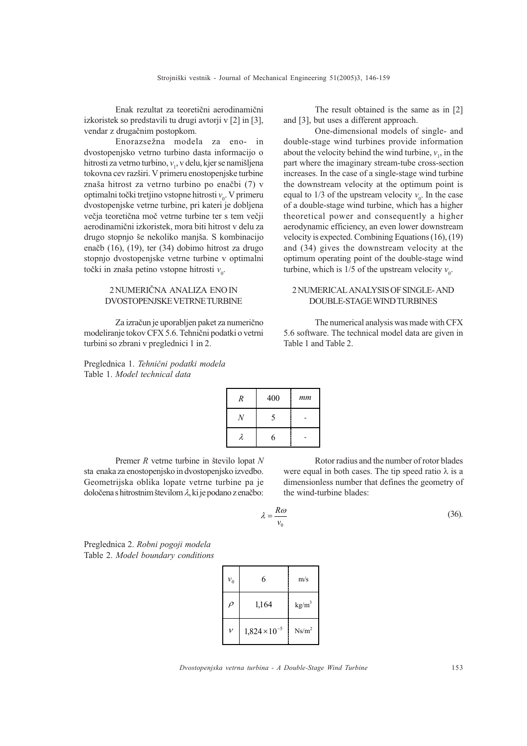Enak rezultat za teoretièni aerodinamièni izkoristek so predstavili tu drugi avtorji v [2] in [3], vendar z drugaènim postopkom.

Enorazsežna modela za eno- in dvostopenjsko vetrno turbino dasta informacijo o hitrosti za vetrno turbino,  $v_1$ , v delu, kjer se namišljena tokovna cev razširi. V primeru enostopenjske turbine znaša hitrost za vetrno turbino po enačbi (7) v optimalni točki tretjino vstopne hitrosti  $v_0$ . V primeru dvostopenjske vetrne turbine, pri kateri je dobljena veèja teoretièna moè vetrne turbine ter s tem veèji aerodinamièni izkoristek, mora biti hitrost v delu za drugo stopnjo še nekoliko manjša. S kombinacijo enaèb (16), (19), ter (34) dobimo hitrost za drugo stopnjo dvostopenjske vetrne turbine v optimalni točki in znaša petino vstopne hitrosti  $v_0$ .

## 2 NUMERIÈNA ANALIZA ENO IN DVOSTOPENJSKE VETRNE TURBINE

Za izraèun je uporabljen paket za numerièno modeliranje tokov CFX 5.6. Tehnièni podatki o vetrni turbini so zbrani v preglednici 1 in 2.

Preglednica 1. Tehnični podatki modela Table 1. Model technical data

The result obtained is the same as in [2] and [3], but uses a different approach.

One-dimensional models of single- and double-stage wind turbines provide information about the velocity behind the wind turbine,  $v_1$ , in the part where the imaginary stream-tube cross-section increases. In the case of a single-stage wind turbine the downstream velocity at the optimum point is equal to 1/3 of the upstream velocity  $v_0$ . In the case of a double-stage wind turbine, which has a higher theoretical power and consequently a higher aerodynamic efficiency, an even lower downstream velocity is expected. Combining Equations (16), (19) and (34) gives the downstream velocity at the optimum operating point of the double-stage wind turbine, which is  $1/5$  of the upstream velocity  $v_0$ .

## 2 NUMERICAL ANALYSIS OF SINGLE- AND DOUBLE-STAGE WIND TURBINES

The numerical analysis was made with CFX 5.6 software. The technical model data are given in Table 1 and Table 2.

| R | 400 | $_{mm}$ |
|---|-----|---------|
|   | 5   |         |
|   | 6   |         |

Premer  $R$  vetrne turbine in število lopat  $N$ sta enaka za enostopenjsko in dvostopenjsko izvedbo. Geometrijska oblika lopate vetrne turbine pa je določena s hitrostnim številom  $\lambda$ , ki je podano z enačbo:

Rotor radius and the number of rotor blades were equal in both cases. The tip speed ratio  $\lambda$  is a dimensionless number that defines the geometry of the wind-turbine blades:

$$
\lambda = \frac{R\omega}{v_0} \tag{36}
$$

Preglednica 2. Robni pogoji modela Table 2. Model boundary conditions

| $v_{0}$       | 6                      | m/s               |  |  |  |
|---------------|------------------------|-------------------|--|--|--|
| $\rho$        | 1,164                  | kg/m <sup>3</sup> |  |  |  |
| $\mathcal{V}$ | $1,824 \times 10^{-5}$ | $Ns/m^2$          |  |  |  |

Dvostopenjska vetrna turbina - A Double-Stage Wind Turbine 153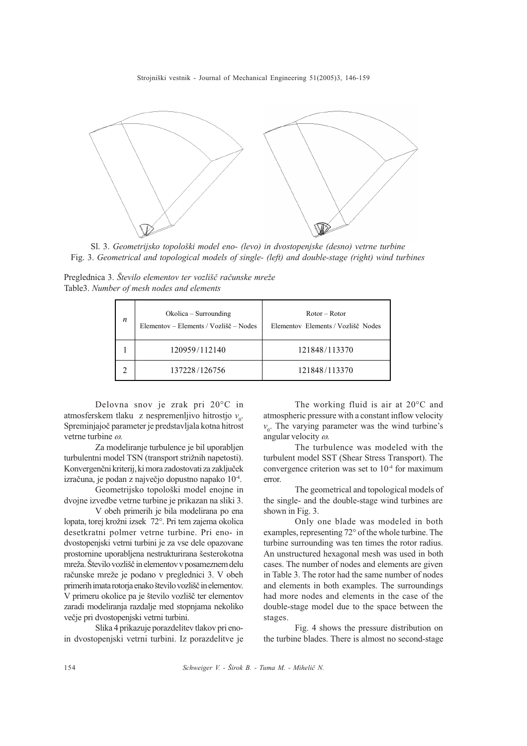

Sl. 3. Geometrijsko topološki model eno- (levo) in dvostopenjske (desno) vetrne turbine Fig. 3. Geometrical and topological models of single- (left) and double-stage (right) wind turbines

Preglednica 3. Število elementov ter vozlišč računske mreže Table3. Number of mesh nodes and elements

| $\boldsymbol{n}$ | $Okolica - Surrounding$<br>Elementov – Elements / Vozlišč – Nodes | $Rotor - Rotor$<br>Elementov Elements / Vozlišč Nodes |  |  |  |  |
|------------------|-------------------------------------------------------------------|-------------------------------------------------------|--|--|--|--|
|                  | 120959/112140                                                     | 121848/113370                                         |  |  |  |  |
|                  | 137228/126756                                                     | 121848/113370                                         |  |  |  |  |

Delovna snov je zrak pri 20°C in atmosferskem tlaku z nespremenljivo hitrostjo  $v_0$ . Spreminjajoè parameter je predstavljala kotna hitrost vetrne turbine  $\omega$ .

Za modeliranje turbulence je bil uporabljen turbulentni model TSN (transport strižnih napetosti). Konvergenèni kriterij, ki mora zadostovati za zakljuèek izraèuna, je podan z najveèjo dopustno napako 10-4.

Geometrijsko topološki model enojne in dvojne izvedbe vetrne turbine je prikazan na sliki 3.

V obeh primerih je bila modelirana po ena lopata, torej krožni izsek 72°. Pri tem zajema okolica desetkratni polmer vetrne turbine. Pri eno- in dvostopenjski vetrni turbini je za vse dele opazovane prostornine uporabljena nestrukturirana šesterokotna mreža. Število vozlišč in elementov v posameznem delu računske mreže je podano v preglednici 3. V obeh primerih imata rotorja enako število vozlišč in elementov. V primeru okolice pa je število vozlišč ter elementov zaradi modeliranja razdalje med stopnjama nekoliko veèje pri dvostopenjski vetrni turbini.

Slika 4 prikazuje porazdelitev tlakov pri enoin dvostopenjski vetrni turbini. Iz porazdelitve je

The working fluid is air at 20°C and atmospheric pressure with a constant inflow velocity  $v_0$ . The varying parameter was the wind turbine's angular velocity  $\omega$ .

The turbulence was modeled with the turbulent model SST (Shear Stress Transport). The convergence criterion was set to  $10<sup>-4</sup>$  for maximum error.

The geometrical and topological models of the single- and the double-stage wind turbines are shown in Fig. 3.

Only one blade was modeled in both examples, representing 72° of the whole turbine. The turbine surrounding was ten times the rotor radius. An unstructured hexagonal mesh was used in both cases. The number of nodes and elements are given in Table 3. The rotor had the same number of nodes and elements in both examples. The surroundings had more nodes and elements in the case of the double-stage model due to the space between the stages.

Fig. 4 shows the pressure distribution on the turbine blades. There is almost no second-stage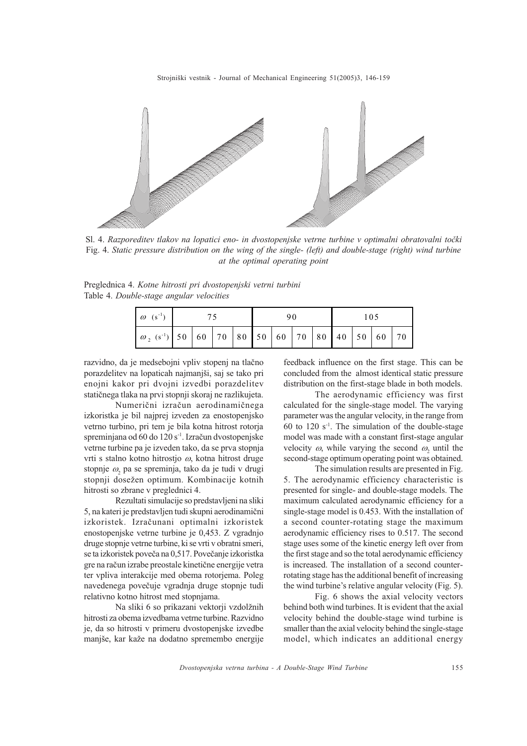

Sl. 4. Razporeditev tlakov na lopatici eno- in dvostopenjske vetrne turbine v optimalni obratovalni točki Fig. 4. Static pressure distribution on the wing of the single- (left) and double-stage (right) wind turbine at the optimal operating point

Preglednica 4. Kotne hitrosti pri dvostopenjski vetrni turbini Table 4. Double-stage angular velocities

| $\omega$ (s <sup>-1</sup> )                                                  |  |  |  |  |  |  |  | 105 |  |  |  |  |
|------------------------------------------------------------------------------|--|--|--|--|--|--|--|-----|--|--|--|--|
| $\sigma$ <sub>2</sub> (s <sup>-1</sup> ) 50 60 70 80 50 60 70 80 40 50 60 70 |  |  |  |  |  |  |  |     |  |  |  |  |

razvidno, da je medsebojni vpliv stopenj na tlaèno porazdelitev na lopaticah najmanjši, saj se tako pri enojni kakor pri dvojni izvedbi porazdelitev statiènega tlaka na prvi stopnji skoraj ne razlikujeta.

Numerièni izraèun aerodinamiènega izkoristka je bil najprej izveden za enostopenjsko vetrno turbino, pri tem je bila kotna hitrost rotorja spreminjana od 60 do 120 s<sup>-1</sup>. Izračun dvostopenjske vetrne turbine pa je izveden tako, da se prva stopnja vrti s stalno kotno hitrostjo  $\omega$ , kotna hitrost druge stopnje  $\omega_2$  pa se spreminja, tako da je tudi v drugi stopnji dosežen optimum. Kombinacije kotnih hitrosti so zbrane v preglednici 4.

Rezultati simulacije so predstavljeni na sliki 5, na kateri je predstavljen tudi skupni aerodinamièni izkoristek. Izraèunani optimalni izkoristek enostopenjske vetrne turbine je 0,453. Z vgradnjo druge stopnje vetrne turbine, ki se vrti v obratni smeri, se ta izkoristek poveča na 0,517. Povečanje izkoristka gre na raèun izrabe preostale kinetiène energije vetra ter vpliva interakcije med obema rotorjema. Poleg navedenega poveèuje vgradnja druge stopnje tudi relativno kotno hitrost med stopnjama.

Na sliki 6 so prikazani vektorii vzdolžnih hitrosti za obema izvedbama vetrne turbine. Razvidno je, da so hitrosti v primeru dvostopenjske izvedbe manjše, kar kaže na dodatno spremembo energije

feedback influence on the first stage. This can be concluded from the almost identical static pressure distribution on the first-stage blade in both models.

The aerodynamic efficiency was first calculated for the single-stage model. The varying parameter was the angular velocity, in the range from 60 to 120  $s<sup>-1</sup>$ . The simulation of the double-stage model was made with a constant first-stage angular velocity  $\omega$ , while varying the second  $\omega_2$  until the second-stage optimum operating point was obtained.

The simulation results are presented in Fig. 5. The aerodynamic efficiency characteristic is presented for single- and double-stage models. The maximum calculated aerodynamic efficiency for a single-stage model is 0.453. With the installation of a second counter-rotating stage the maximum aerodynamic efficiency rises to 0.517. The second stage uses some of the kinetic energy left over from the first stage and so the total aerodynamic efficiency is increased. The installation of a second counterrotating stage has the additional benefit of increasing the wind turbine's relative angular velocity (Fig.  $5$ ).

Fig. 6 shows the axial velocity vectors behind both wind turbines. It is evident that the axial velocity behind the double-stage wind turbine is smaller than the axial velocity behind the single-stage model, which indicates an additional energy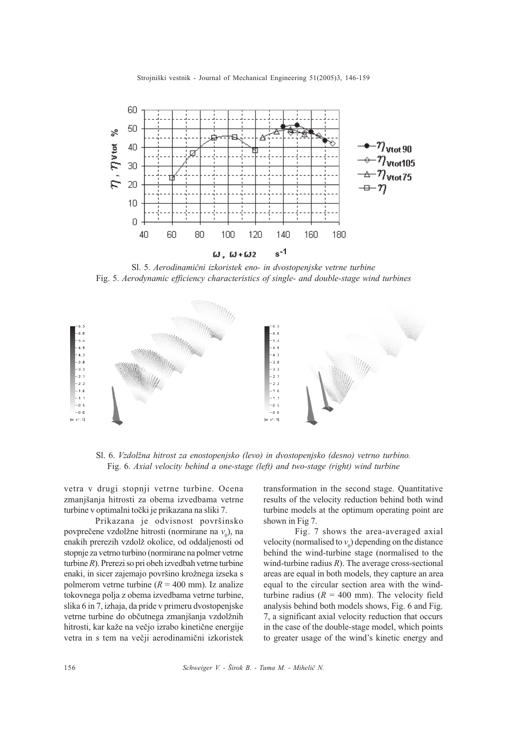

Sl. 5. Aerodinamièni izkoristek eno- in dvostopenjske vetrne turbine Fig. 5. Aerodynamic efficiency characteristics of single- and double-stage wind turbines



Sl. 6. Vzdolžna hitrost za enostopenjsko (levo) in dvostopenjsko (desno) vetrno turbino. Fig. 6. Axial velocity behind a one-stage (left) and two-stage (right) wind turbine

vetra v drugi stopnji vetrne turbine. Ocena zmanjšanja hitrosti za obema izvedbama vetrne turbine v optimalni toèki je prikazana na sliki 7.

Prikazana je odvisnost površinsko povprečene vzdolžne hitrosti (normirane na  $v_0$ ), na enakih prerezih vzdolž okolice, od oddaljenosti od stopnje za vetrno turbino (normirane na polmer vetrne turbine R). Prerezi so pri obeh izvedbah vetrne turbine enaki, in sicer zajemajo površino krožnega izseka s polmerom vetrne turbine ( $R = 400$  mm). Iz analize tokovnega polja z obema izvedbama vetrne turbine, slika 6 in 7, izhaja, da pride v primeru dvostopenjske vetrne turbine do občutnega zmanjšanja vzdolžnih hitrosti, kar kaže na večio izrabo kinetične energije vetra in s tem na veèji aerodinamièni izkoristek transformation in the second stage. Quantitative results of the velocity reduction behind both wind turbine models at the optimum operating point are shown in Fig 7.

Fig. 7 shows the area-averaged axial velocity (normalised to  $v_0$ ) depending on the distance behind the wind-turbine stage (normalised to the wind-turbine radius  $R$ ). The average cross-sectional areas are equal in both models, they capture an area equal to the circular section area with the windturbine radius ( $R = 400$  mm). The velocity field analysis behind both models shows, Fig. 6 and Fig. 7, a significant axial velocity reduction that occurs in the case of the double-stage model, which points to greater usage of the wind's kinetic energy and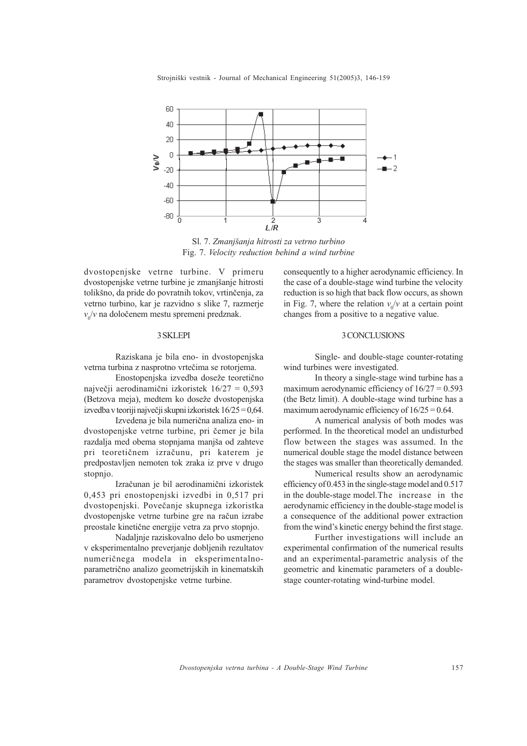

Sl. 7. Zmanjšanja hitrosti za vetrno turbino Fig. 7. Velocity reduction behind a wind turbine

dvostopenjske vetrne turbine. V primeru dvostopenjske vetrne turbine je zmanjšanje hitrosti tolikšno, da pride do povratnih tokov, vrtinčenja, za vetrno turbino, kar je razvidno s slike 7, razmerje  $v_0/v$  na določenem mestu spremeni predznak.

#### 3 SKLEPI

Raziskana je bila eno- in dvostopenjska vetrna turbina z nasprotno vrtečima se rotoriema.

Enostopenjska izvedba doseže teoretično najveèji aerodinamièni izkoristek 16/27 = 0,593 (Betzova meja), medtem ko doseže dvostopenjska izvedba v teoriji najveèji skupni izkoristek 16/25 = 0,64.

Izvedena je bila numerièna analiza eno- in dvostopenjske vetrne turbine, pri čemer je bila razdalja med obema stopnjama manjša od zahteve pri teoretiènem izraèunu, pri katerem je predpostavljen nemoten tok zraka iz prve v drugo stopnjo.

Izraèunan je bil aerodinamièni izkoristek 0,453 pri enostopenjski izvedbi in 0,517 pri dvostopenjski. Poveèanje skupnega izkoristka dvostopenjske vetrne turbine gre na raèun izrabe preostale kinetiène energije vetra za prvo stopnjo.

Nadaljnje raziskovalno delo bo usmerjeno v eksperimentalno preverjanje dobljenih rezultatov numeriènega modela in eksperimentalnoparametrièno analizo geometrijskih in kinematskih parametrov dvostopenjske vetrne turbine.

consequently to a higher aerodynamic efficiency. In the case of a double-stage wind turbine the velocity reduction is so high that back flow occurs, as shown in Fig. 7, where the relation  $v_0/v$  at a certain point changes from a positive to a negative value.

## 3 CONCLUSIONS

Single- and double-stage counter-rotating wind turbines were investigated.

In theory a single-stage wind turbine has a maximum aerodynamic efficiency of  $16/27 = 0.593$ (the Betz limit). A double-stage wind turbine has a maximum aerodynamic efficiency of  $16/25 = 0.64$ .

A numerical analysis of both modes was performed. In the theoretical model an undisturbed flow between the stages was assumed. In the numerical double stage the model distance between the stages was smaller than theoretically demanded.

Numerical results show an aerodynamic efficiency of 0.453 in the single-stage model and 0.517 in the double-stage model.The increase in the aerodynamic efficiency in the double-stage model is a consequence of the additional power extraction from the wind's kinetic energy behind the first stage.

Further investigations will include an experimental confirmation of the numerical results and an experimental-parametric analysis of the geometric and kinematic parameters of a doublestage counter-rotating wind-turbine model.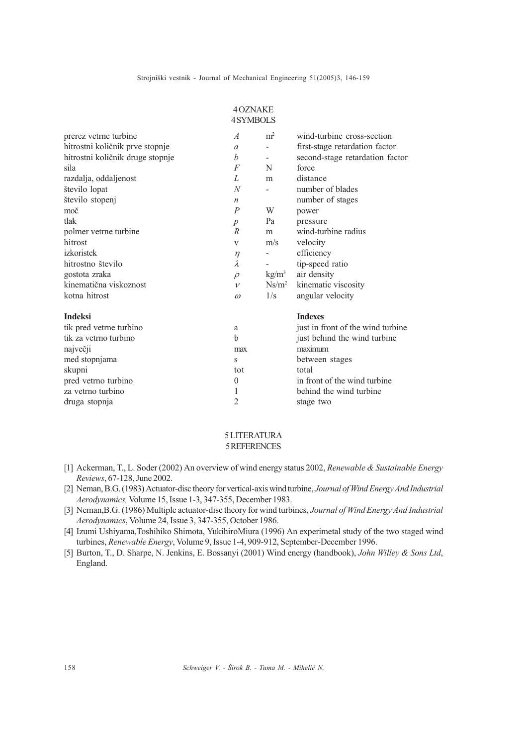4 OZNAKE

|                                  | <b>4SYMBOLS</b>  |                          |                                   |
|----------------------------------|------------------|--------------------------|-----------------------------------|
| prerez vetrne turbine            | $\overline{A}$   | m <sup>2</sup>           | wind-turbine cross-section        |
| hitrostni količnik prve stopnje  | $\mathfrak{a}$   | $\overline{\phantom{0}}$ | first-stage retardation factor    |
| hitrostni količnik druge stopnje | $\boldsymbol{b}$ | -                        | second-stage retardation factor   |
| sila                             | F                | N                        | force                             |
| razdalja, oddaljenost            | L                | m                        | distance                          |
| število lopat                    | $\overline{N}$   |                          | number of blades                  |
| število stopenj                  | $\boldsymbol{n}$ |                          | number of stages                  |
| moč                              | $\overline{P}$   | W                        | power                             |
| tlak                             | $\boldsymbol{p}$ | Pa                       | pressure                          |
| polmer vetrne turbine            | $\overline{R}$   | m                        | wind-turbine radius               |
| hitrost                          | V                | m/s                      | velocity                          |
| izkoristek                       | $\eta$           | -                        | efficiency                        |
| hitrostno število                | $\lambda$        |                          | tip-speed ratio                   |
| gostota zraka                    | $\rho$           | $\text{kg/m}^3$          | air density                       |
| kinematična viskoznost           | $\mathcal V$     | $Ns/m^2$                 | kinematic viscosity               |
| kotna hitrost                    | $\omega$         | 1/s                      | angular velocity                  |
| <b>Indeksi</b>                   |                  |                          | <b>Indexes</b>                    |
| tik pred vetrne turbino          | a                |                          | just in front of the wind turbine |
| tik za vetrno turbino            | $\mathbf b$      |                          | just behind the wind turbine      |
| največji                         | max              |                          | maximum                           |
| med stopnjama                    | S                |                          | between stages                    |
| skupni                           | tot              |                          | total                             |
| pred vetrno turbino              | $\theta$         |                          | in front of the wind turbine      |
| za vetrno turbino                | 1                |                          | behind the wind turbine           |
| druga stopnja                    | 2                |                          | stage two                         |

## 5 LITERATURA 5 REFERENCES

- [1] Ackerman, T., L. Soder (2002) An overview of wind energy status 2002, Renewable & Sustainable Energy Reviews, 67-128, June 2002.
- [2] Neman, B.G. (1983) Actuator-disc theory for vertical-axis wind turbine, Journal of Wind Energy And Industrial Aerodynamics, Volume 15, Issue 1-3, 347-355, December 1983.
- [3] Neman, B.G. (1986) Multiple actuator-disc theory for wind turbines, Journal of Wind Energy And Industrial Aerodynamics, Volume 24, Issue 3, 347-355, October 1986.
- [4] Izumi Ushiyama,Toshihiko Shimota, YukihiroMiura (1996) An experimetal study of the two staged wind turbines, Renewable Energy, Volume 9, Issue 1-4, 909-912, September-December 1996.
- [5] Burton, T., D. Sharpe, N. Jenkins, E. Bossanyi (2001) Wind energy (handbook), John Willey & Sons Ltd, England.